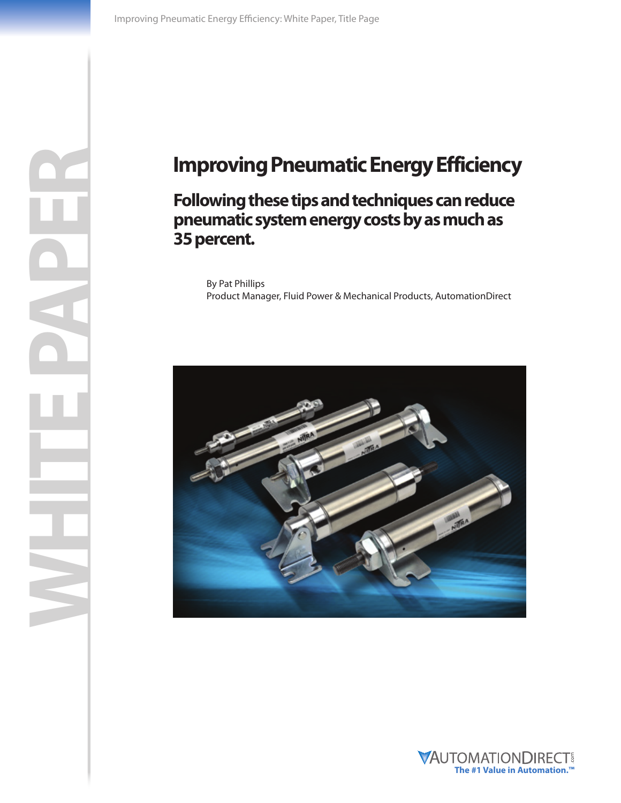# **Improving Pneumatic Energy Efficiency**

**Following these tips and techniques can reduce pneumatic system energy costs by as much as 35 percent.**

By Pat Phillips Product Manager, Fluid Power & Mechanical Products, AutomationDirect



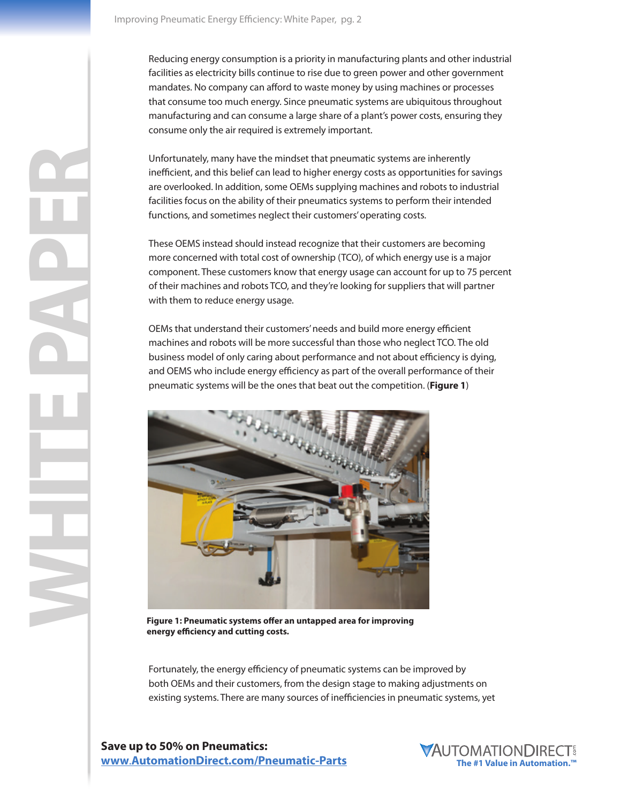Reducing energy consumption is a priority in manufacturing plants and other industrial facilities as electricity bills continue to rise due to green power and other government mandates. No company can afford to waste money by using machines or processes that consume too much energy. Since pneumatic systems are ubiquitous throughout manufacturing and can consume a large share of a plant's power costs, ensuring they consume only the air required is extremely important.

Unfortunately, many have the mindset that pneumatic systems are inherently inefficient, and this belief can lead to higher energy costs as opportunities for savings are overlooked. In addition, some OEMs supplying machines and robots to industrial facilities focus on the ability of their pneumatics systems to perform their intended functions, and sometimes neglect their customers' operating costs.

These OEMS instead should instead recognize that their customers are becoming more concerned with total cost of ownership (TCO), of which energy use is a major component. These customers know that energy usage can account for up to 75 percent of their machines and robots TCO, and they're looking for suppliers that will partner with them to reduce energy usage.

OEMs that understand their customers' needs and build more energy efficient machines and robots will be more successful than those who neglect TCO. The old business model of only caring about performance and not about efficiency is dying, and OEMS who include energy efficiency as part of the overall performance of their pneumatic systems will be the ones that beat out the competition. (**Figure 1**)



**Figure 1: Pneumatic systems offer an untapped area for improving energy efficiency and cutting costs.**

Fortunately, the energy efficiency of pneumatic systems can be improved by both OEMs and their customers, from the design stage to making adjustments on existing systems. There are many sources of inefficiencies in pneumatic systems, yet

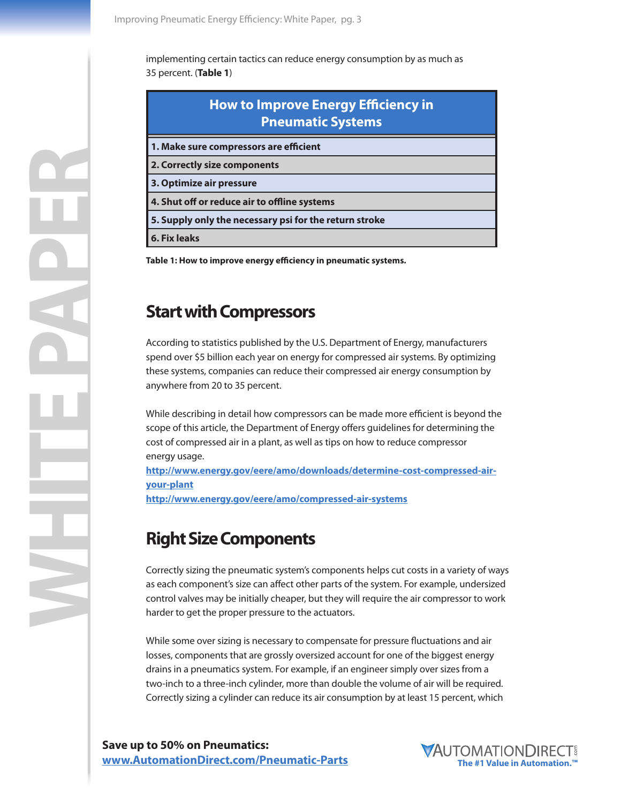implementing certain tactics can reduce energy consumption by as much as 35 percent. (**Table 1**)

| <b>How to Improve Energy Efficiency in</b><br><b>Pneumatic Systems</b> |
|------------------------------------------------------------------------|
| 1. Make sure compressors are efficient                                 |
| 2. Correctly size components                                           |
| 3. Optimize air pressure                                               |
| 4. Shut off or reduce air to offline systems                           |
| 5. Supply only the necessary psi for the return stroke                 |
| <b>6. Fix leaks</b>                                                    |

**Table 1: How to improve energy efficiency in pneumatic systems.**

#### **Start with Compressors**

According to statistics published by the U.S. Department of Energy, manufacturers spend over \$5 billion each year on energy for compressed air systems. By optimizing these systems, companies can reduce their compressed air energy consumption by anywhere from 20 to 35 percent.

While describing in detail how compressors can be made more efficient is beyond the scope of this article, the Department of Energy offers guidelines for determining the cost of compressed air in a plant, as well as tips on how to reduce compressor energy usage.

**http://www.energy.gov/eere/amo/downloads/determine-cost-compressed-airyour-plant**

**http://www.energy.gov/eere/amo/compressed-air-systems**

#### **Right Size Components**

Correctly sizing the pneumatic system's components helps cut costs in a variety of ways as each component's size can affect other parts of the system. For example, undersized control valves may be initially cheaper, but they will require the air compressor to work harder to get the proper pressure to the actuators.

While some over sizing is necessary to compensate for pressure fluctuations and air losses, components that are grossly oversized account for one of the biggest energy drains in a pneumatics system. For example, if an engineer simply over sizes from a two-inch to a three-inch cylinder, more than double the volume of air will be required. Correctly sizing a cylinder can reduce its air consumption by at least 15 percent, which

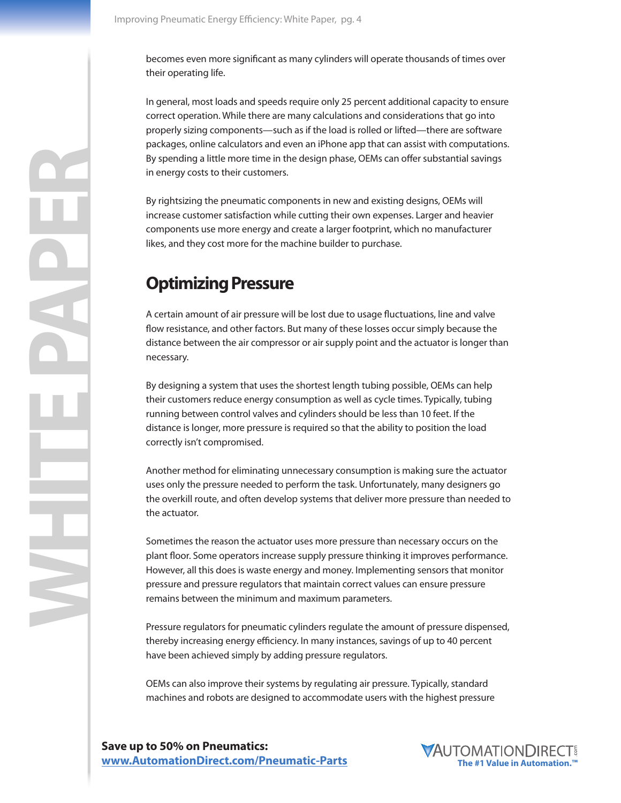becomes even more significant as many cylinders will operate thousands of times over their operating life.

In general, most loads and speeds require only 25 percent additional capacity to ensure correct operation. While there are many calculations and considerations that go into properly sizing components—such as if the load is rolled or lifted—there are software packages, online calculators and even an iPhone app that can assist with computations. By spending a little more time in the design phase, OEMs can offer substantial savings in energy costs to their customers.

By rightsizing the pneumatic components in new and existing designs, OEMs will increase customer satisfaction while cutting their own expenses. Larger and heavier components use more energy and create a larger footprint, which no manufacturer likes, and they cost more for the machine builder to purchase.

## **Optimizing Pressure**

A certain amount of air pressure will be lost due to usage fluctuations, line and valve flow resistance, and other factors. But many of these losses occur simply because the distance between the air compressor or air supply point and the actuator is longer than necessary.

By designing a system that uses the shortest length tubing possible, OEMs can help their customers reduce energy consumption as well as cycle times. Typically, tubing running between control valves and cylinders should be less than 10 feet. If the distance is longer, more pressure is required so that the ability to position the load correctly isn't compromised.

Another method for eliminating unnecessary consumption is making sure the actuator uses only the pressure needed to perform the task. Unfortunately, many designers go the overkill route, and often develop systems that deliver more pressure than needed to the actuator.

Sometimes the reason the actuator uses more pressure than necessary occurs on the plant floor. Some operators increase supply pressure thinking it improves performance. However, all this does is waste energy and money. Implementing sensors that monitor pressure and pressure regulators that maintain correct values can ensure pressure remains between the minimum and maximum parameters.

Pressure regulators for pneumatic cylinders regulate the amount of pressure dispensed, thereby increasing energy efficiency. In many instances, savings of up to 40 percent have been achieved simply by adding pressure regulators.

OEMs can also improve their systems by regulating air pressure. Typically, standard machines and robots are designed to accommodate users with the highest pressure

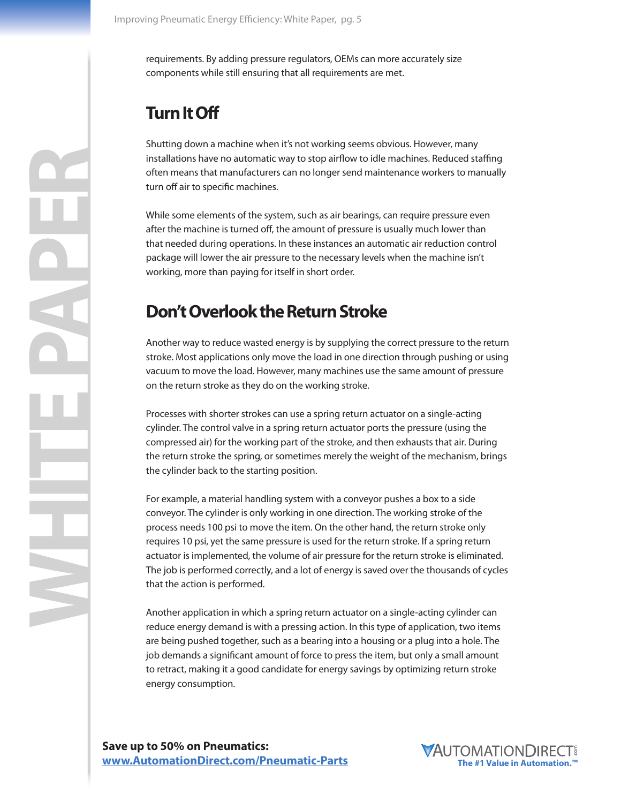requirements. By adding pressure regulators, OEMs can more accurately size components while still ensuring that all requirements are met.

## **Turn It Off**

Shutting down a machine when it's not working seems obvious. However, many installations have no automatic way to stop airflow to idle machines. Reduced staffing often means that manufacturers can no longer send maintenance workers to manually turn off air to specific machines.

While some elements of the system, such as air bearings, can require pressure even after the machine is turned off, the amount of pressure is usually much lower than that needed during operations. In these instances an automatic air reduction control package will lower the air pressure to the necessary levels when the machine isn't working, more than paying for itself in short order.

#### **Don't Overlook the Return Stroke**

Another way to reduce wasted energy is by supplying the correct pressure to the return stroke. Most applications only move the load in one direction through pushing or using vacuum to move the load. However, many machines use the same amount of pressure on the return stroke as they do on the working stroke.

Processes with shorter strokes can use a spring return actuator on a single-acting cylinder. The control valve in a spring return actuator ports the pressure (using the compressed air) for the working part of the stroke, and then exhausts that air. During the return stroke the spring, or sometimes merely the weight of the mechanism, brings the cylinder back to the starting position.

For example, a material handling system with a conveyor pushes a box to a side conveyor. The cylinder is only working in one direction. The working stroke of the process needs 100 psi to move the item. On the other hand, the return stroke only requires 10 psi, yet the same pressure is used for the return stroke. If a spring return actuator is implemented, the volume of air pressure for the return stroke is eliminated. The job is performed correctly, and a lot of energy is saved over the thousands of cycles that the action is performed.

Another application in which a spring return actuator on a single-acting cylinder can reduce energy demand is with a pressing action. In this type of application, two items are being pushed together, such as a bearing into a housing or a plug into a hole. The job demands a significant amount of force to press the item, but only a small amount to retract, making it a good candidate for energy savings by optimizing return stroke energy consumption.

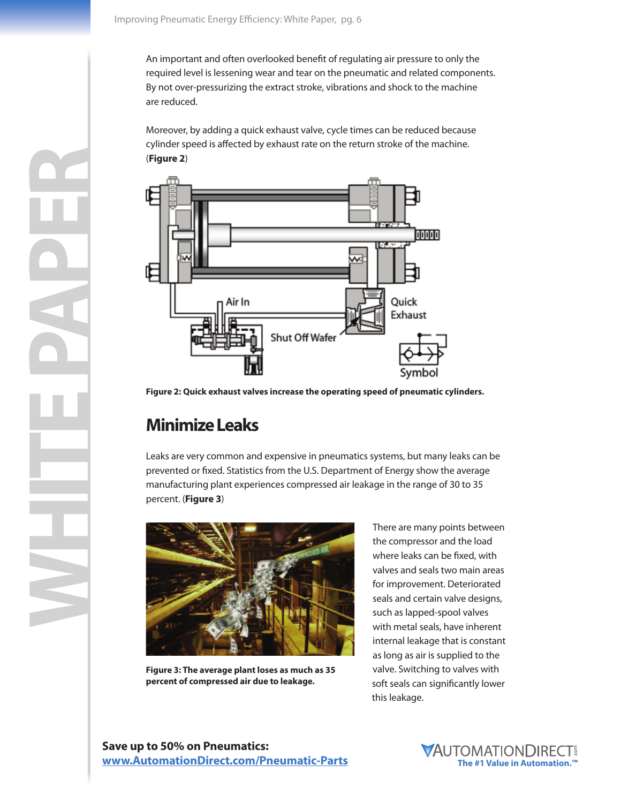An important and often overlooked benefit of regulating air pressure to only the required level is lessening wear and tear on the pneumatic and related components. By not over-pressurizing the extract stroke, vibrations and shock to the machine are reduced.

Moreover, by adding a quick exhaust valve, cycle times can be reduced because cylinder speed is affected by exhaust rate on the return stroke of the machine. (**Figure 2**)



**Figure 2: Quick exhaust valves increase the operating speed of pneumatic cylinders.**

## **Minimize Leaks**

Leaks are very common and expensive in pneumatics systems, but many leaks can be prevented or fixed. Statistics from the U.S. Department of Energy show the average manufacturing plant experiences compressed air leakage in the range of 30 to 35 percent. (**Figure 3**)



**Figure 3: The average plant loses as much as 35 percent of compressed air due to leakage.**

There are many points between the compressor and the load where leaks can be fixed, with valves and seals two main areas for improvement. Deteriorated seals and certain valve designs, such as lapped-spool valves with metal seals, have inherent internal leakage that is constant as long as air is supplied to the valve. Switching to valves with soft seals can significantly lower this leakage.